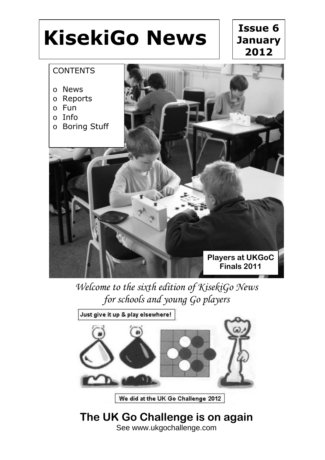

*Welcome to the sixth edition of KisekiGo News for schools and young Go players*



We did at the UK Go Challenge 2012

**The UK Go Challenge is on again** See www.ukgochallenge.com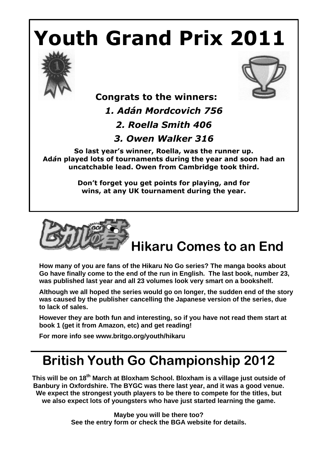# **Youth Grand Prix 2011**





## **Congrats to the winners:**

*1. Adán Mordcovich 756*

*2. Roella Smith 406*

*3. Owen Walker 316*

**So last year's winner, Roella, was the runner up. Ad***á***n played lots of tournaments during the year and soon had an uncatchable lead. Owen from Cambridge took third.**

> **Don't forget you get points for playing, and for wins, at any UK tournament during the year.**



## **Hikaru Comes to an End**

**How many of you are fans of the Hikaru No Go series? The manga books about Go have finally come to the end of the run in English. The last book, number 23, was published last year and all 23 volumes look very smart on a bookshelf.** 

**Although we all hoped the series would go on longer, the sudden end of the story was caused by the publisher cancelling the Japanese version of the series, due to lack of sales.**

**However they are both fun and interesting, so if you have not read them start at book 1 (get it from Amazon, etc) and get reading!**

**For more info see www.britgo.org/youth/hikaru**

## **British Youth Go Championship 2012**

**This will be on 18th March at Bloxham School. Bloxham is a village just outside of Banbury in Oxfordshire. The BYGC was there last year, and it was a good venue. We expect the strongest youth players to be there to compete for the titles, but we also expect lots of youngsters who have just started learning the game.** 

> **Maybe you will be there too? See the entry form or check the BGA website for details.**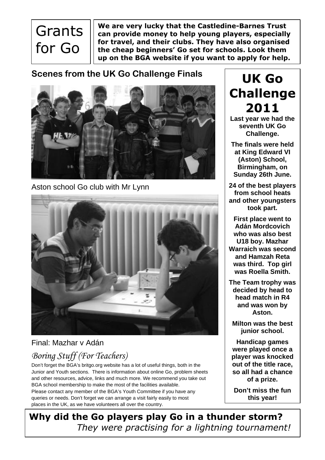## **Grants** for Go

**We are very lucky that the Castledine-Barnes Trust can provide money to help young players, especially for travel, and their clubs. They have also organised the cheap beginners' Go set for schools. Look them up on the BGA website if you want to apply for help.**

#### **Scenes from the UK Go Challenge Finals**



Aston school Go club with Mr Lynn



#### Final: Mazhar v Adán

### *Boring Stuff (For Teachers)*

Don't forget the BGA's britgo.org website has a lot of useful things, both in the Junior and Youth sections. There is information about online Go, problem sheets and other resources, advice, links and much more. We recommend you take out BGA school membership to make the most of the facilities available. Please contact any member of the BGA's Youth Committee if you have any queries or needs. Don't forget we can arrange a visit fairly easily to most places in the UK, as we have volunteers all over the country.

**UK Go Challenge 2011**

**Last year we had the seventh UK Go Challenge.**

**The finals were held at King Edward VI (Aston) School, Birmingham, on Sunday 26th June.**

**24 of the best players from school heats and other youngsters took part.** 

**First place went to Adán Mordcovich who was also best U18 boy. Mazhar Warraich was second and Hamzah Reta was third. Top girl was Roella Smith.**

**The Team trophy was decided by head to head match in R4 and was won by Aston.** 

**Milton was the best junior school.**

**Handicap games were played once a player was knocked out of the title race, so all had a chance of a prize.**

**Don't miss the fun this year!** 

**Why did the Go players play Go in a thunder storm?** *They were practising for a lightning tournament!*